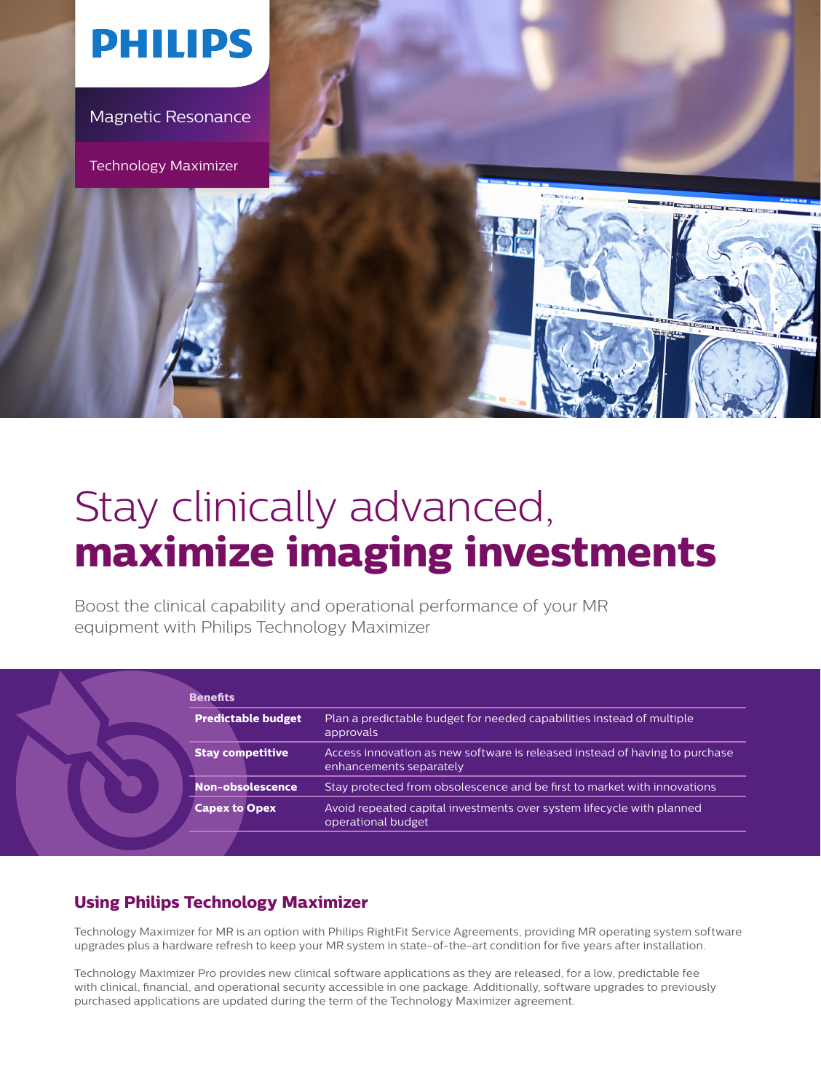

# Stay clinically advanced, **maximize imaging investments**

Boost the clinical capability and operational performance of your MR equipment with Philips Technology Maximizer

| <b>Predictable budget</b> | Plan a predictable budget for needed capabilities instead of multiple<br>approvals                     |
|---------------------------|--------------------------------------------------------------------------------------------------------|
| <b>Stay competitive</b>   | Access innovation as new software is released instead of having to purchase<br>enhancements separately |
| Non-obsolescence          | Stay protected from obsolescence and be first to market with innovations                               |
| <b>Capex to Opex</b>      | Avoid repeated capital investments over system lifecycle with planned<br>operational budget            |

## **Using Philips Technology Maximizer**

Technology Maximizer for MR is an option with Philips RightFit Service Agreements, providing MR operating system software upgrades plus a hardware refresh to keep your MR system in state-of-the-art condition for five years after installation.

Technology Maximizer Pro provides new clinical software applications as they are released, for a low, predictable fee with clinical, financial, and operational security accessible in one package. Additionally, software upgrades to previously purchased applications are updated during the term of the Technology Maximizer agreement.